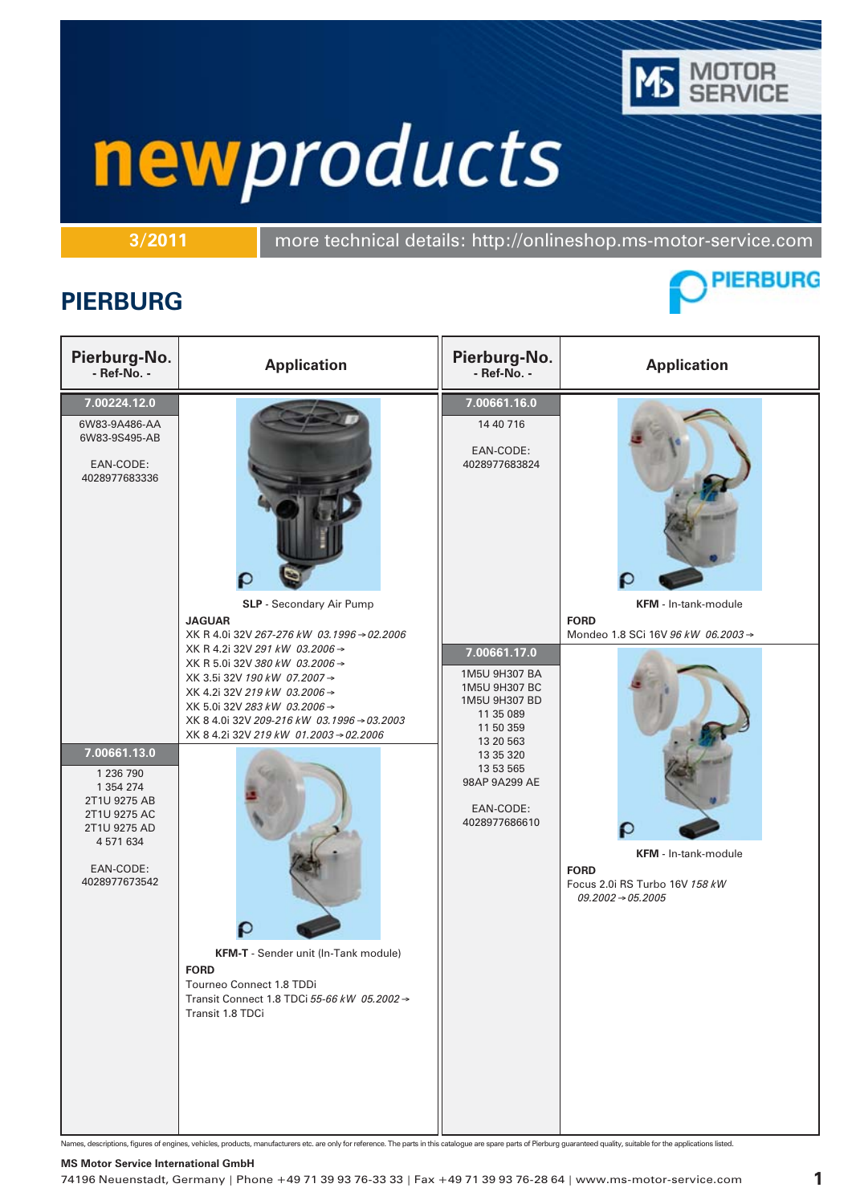

**3/2011** more technical details: http://onlineshop.ms-motor-service.com

### **PIERBURG**



| Pierburg-No.<br>- Ref-No. -                                                                                                                                                                                       | <b>Application</b>                                                                                                                                                                                                                                                                                                                                                                                                                                                                                        | Pierburg-No.<br>- Ref-No. -                                                                                                                                                                                                                             | <b>Application</b>                                                                                                                                                                  |
|-------------------------------------------------------------------------------------------------------------------------------------------------------------------------------------------------------------------|-----------------------------------------------------------------------------------------------------------------------------------------------------------------------------------------------------------------------------------------------------------------------------------------------------------------------------------------------------------------------------------------------------------------------------------------------------------------------------------------------------------|---------------------------------------------------------------------------------------------------------------------------------------------------------------------------------------------------------------------------------------------------------|-------------------------------------------------------------------------------------------------------------------------------------------------------------------------------------|
| 7.00224.12.0<br>6W83-9A486-AA<br>6W83-9S495-AB<br>EAN-CODE:<br>4028977683336<br>7.00661.13.0<br>1 236 790<br>1 354 274<br>2T1U 9275 AB<br>2T1U 9275 AC<br>2T1U 9275 AD<br>4 571 634<br>EAN-CODE:<br>4028977673542 | SLP - Secondary Air Pump<br><b>JAGUAR</b><br>XK R 4.0i 32V 267-276 kW 03.1996 → 02.2006<br>XK R 4.2i 32V 291 kW 03.2006 →<br>XK R 5.0i 32V 380 kW 03.2006 →<br>XK 3.5i 32V 190 kW 07.2007 →<br>XK 4.2i 32V 219 kW 03.2006 →<br>XK 5.0i 32V 283 kW 03,2006 →<br>XK 8 4.0i 32V 209-216 kW 03.1996 → 03.2003<br>XK 8 4.2i 32V 219 kW 01.2003 → 02.2006<br>KFM-T - Sender unit (In-Tank module)<br><b>FORD</b><br>Tourneo Connect 1.8 TDDi<br>Transit Connect 1.8 TDCi 55-66 kW 05.2002 →<br>Transit 1.8 TDCi | $\overline{7.00661.16.0}$<br>14 40 716<br>EAN-CODE:<br>4028977683824<br>7.00661.17.0<br>1M5U 9H307 BA<br>1M5U 9H307 BC<br>1M5U 9H307 BD<br>11 35 089<br>11 50 359<br>13 20 563<br>13 35 320<br>13 53 565<br>98AP 9A299 AE<br>EAN-CODE:<br>4028977686610 | KFM - In-tank-module<br><b>FORD</b><br>Mondeo 1.8 SCi 16V 96 kW 06.2003 →<br>KFM - In-tank-module<br><b>FORD</b><br>Focus 2.0i RS Turbo 16V 158 kW<br>$09.2002 \rightarrow 05.2005$ |

Names, descriptions, figures of engines, vehicles, products, manufacturers etc. are only for reference. The parts in this catalogue are spare parts of Pierburg guaranteed quality, suitable for the applications listed.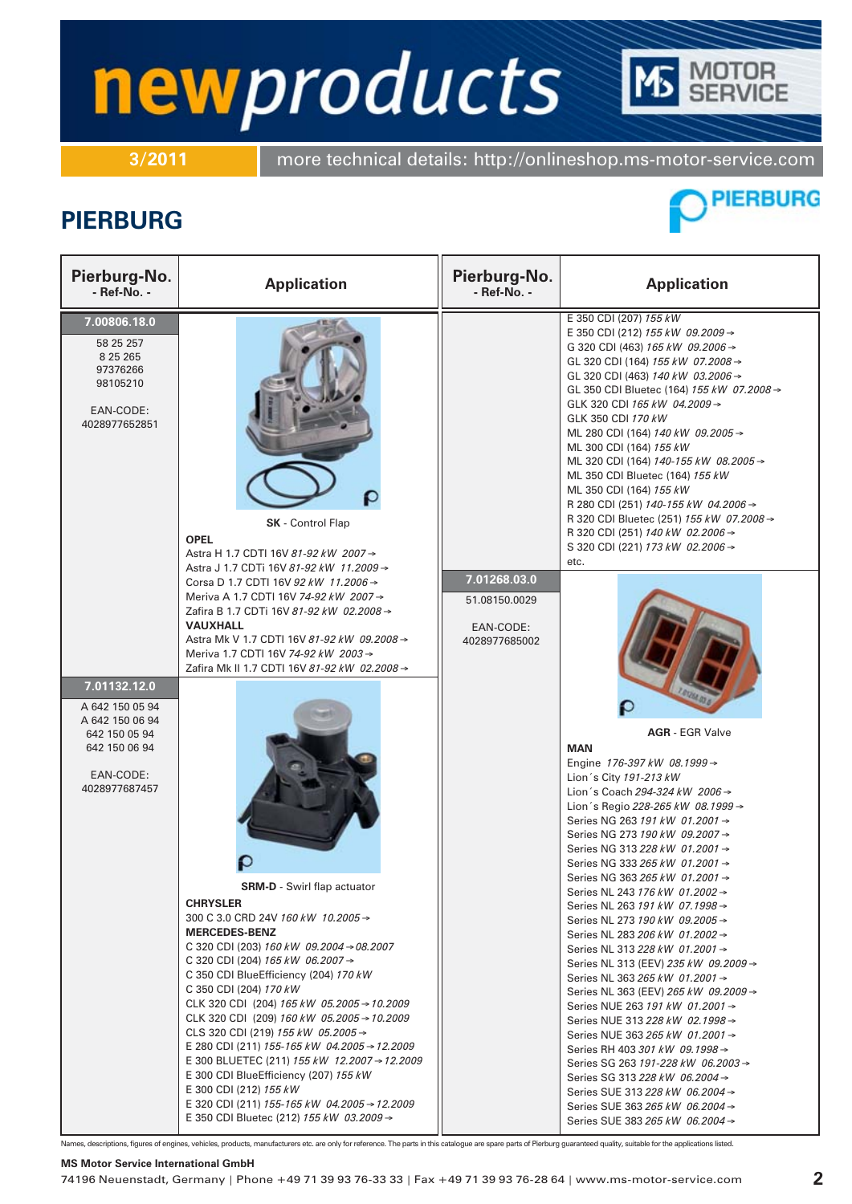## **TOR<br>RVICE** newproducts

**3/2011** more technical details: http://onlineshop.ms-motor-service.com

### **PIERBURG**



| Pierburg-No.<br>- Ref-No. -                                                                                        | <b>Application</b>                                                                                                                                                                                                                                                                                                                                                                                                                                                                                                                                                                                                                                                                                           | Pierburg-No.<br>- Ref-No. -                                 | <b>Application</b>                                                                                                                                                                                                                                                                                                                                                                                                                                                                                                                                                                                                                                                                                                                                                                                                                                                                                                                                                                                                                                           |
|--------------------------------------------------------------------------------------------------------------------|--------------------------------------------------------------------------------------------------------------------------------------------------------------------------------------------------------------------------------------------------------------------------------------------------------------------------------------------------------------------------------------------------------------------------------------------------------------------------------------------------------------------------------------------------------------------------------------------------------------------------------------------------------------------------------------------------------------|-------------------------------------------------------------|--------------------------------------------------------------------------------------------------------------------------------------------------------------------------------------------------------------------------------------------------------------------------------------------------------------------------------------------------------------------------------------------------------------------------------------------------------------------------------------------------------------------------------------------------------------------------------------------------------------------------------------------------------------------------------------------------------------------------------------------------------------------------------------------------------------------------------------------------------------------------------------------------------------------------------------------------------------------------------------------------------------------------------------------------------------|
| 7.00806.18.0<br>58 25 257<br>8 25 265<br>97376266<br>98105210<br>EAN-CODE:<br>4028977652851                        | ρ<br><b>SK</b> - Control Flap<br><b>OPEL</b><br>Astra H 1.7 CDTI 16V 81-92 kW 2007 →<br>Astra J 1.7 CDTi 16V 81-92 kW 11.2009 →                                                                                                                                                                                                                                                                                                                                                                                                                                                                                                                                                                              |                                                             | E 350 CDI (207) 155 kW<br>E 350 CDI (212) 155 kW 09.2009 →<br>G 320 CDI (463) 165 kW 09.2006 →<br>GL 320 CDI (164) 155 kW 07.2008 →<br>GL 320 CDI (463) 140 kW 03.2006 →<br>GL 350 CDI Bluetec (164) 155 kW 07.2008 →<br>GLK 320 CDI 165 kW 04.2009 $\rightarrow$<br>GLK 350 CDI 170 kW<br>ML 280 CDI (164) 140 kW 09.2005 →<br>ML 300 CDI (164) 155 kW<br>ML 320 CDI (164) 140-155 kW 08.2005 →<br>ML 350 CDI Bluetec (164) 155 kW<br>ML 350 CDI (164) 155 kW<br>R 280 CDI (251) 140-155 kW 04.2006 →<br>R 320 CDI Bluetec (251) 155 kW 07.2008 →<br>R 320 CDI (251) 140 kW 02.2006 →<br>S 320 CDI (221) 173 kW 02.2006 →<br>etc.                                                                                                                                                                                                                                                                                                                                                                                                                           |
|                                                                                                                    | Corsa D 1.7 CDTI 16V 92 kW 11.2006 →<br>Meriva A 1.7 CDTI 16V 74-92 kW 2007 →<br>Zafira B 1.7 CDTi 16V 81-92 kW 02.2008 →<br><b>VAUXHALL</b><br>Astra Mk V 1.7 CDTI 16V 81-92 kW 09.2008 →<br>Meriva 1.7 CDTI 16V 74-92 kW 2003 →<br>Zafira Mk II 1.7 CDTI 16V 81-92 kW 02.2008 →                                                                                                                                                                                                                                                                                                                                                                                                                            | 7.01268.03.0<br>51.08150.0029<br>EAN-CODE:<br>4028977685002 |                                                                                                                                                                                                                                                                                                                                                                                                                                                                                                                                                                                                                                                                                                                                                                                                                                                                                                                                                                                                                                                              |
| 7.01132.12.0<br>A 642 150 05 94<br>A 642 150 06 94<br>642 150 05 94<br>642 150 06 94<br>EAN-CODE:<br>4028977687457 | <b>SRM-D</b> - Swirl flap actuator<br><b>CHRYSLER</b><br>300 C 3.0 CRD 24V 160 kW 10.2005 →<br><b>MERCEDES-BENZ</b><br>C 320 CDI (203) 160 kW 09.2004 $\rightarrow$ 08.2007<br>C 320 CDI (204) 165 kW 06.2007 $\rightarrow$<br>C 350 CDI BlueEfficiency (204) 170 kW<br>C 350 CDI (204) 170 kW<br>CLK 320 CDI (204) 165 kW 05.2005 $\rightarrow$ 10.2009<br>CLK 320 CDI (209) 160 kW 05.2005 → 10.2009<br>CLS 320 CDI (219) 155 kW 05.2005 →<br>E 280 CDI (211) 155-165 kW 04.2005 → 12.2009<br>E 300 BLUETEC (211) 155 kW 12.2007 → 12.2009<br>E 300 CDI Blue Efficiency (207) 155 kW<br>E 300 CDI (212) 155 kW<br>E 320 CDI (211) 155-165 kW 04.2005 → 12.2009<br>E 350 CDI Bluetec (212) 155 kW 03.2009 → |                                                             | <b>AGR</b> - EGR Valve<br><b>MAN</b><br>Engine 176-397 kW 08.1999 $\rightarrow$<br>Lion's City 191-213 kW<br>Lion 's Coach 294-324 kW 2006 →<br>Lion 's Regio 228-265 kW 08.1999 →<br>Series NG 263 191 kW 01.2001 →<br>Series NG 273 190 kW 09.2007 →<br>Series NG 313 228 kW 01.2001 →<br>Series NG 333 265 kW 01.2001 →<br>Series NG 363 265 kW 01.2001 →<br>Series NL 243 176 kW 01.2002 →<br>Series NL 263 191 kW 07.1998 →<br>Series NL 273 190 kW 09.2005 →<br>Series NL 283 206 kW 01.2002 $\rightarrow$<br>Series NL 313 228 kW 01,2001 →<br>Series NL 313 (EEV) 235 kW 09.2009 →<br>Series NL 363 265 kW 01.2001 →<br>Series NL 363 (EEV) 265 kW 09.2009 →<br>Series NUE 263 191 kW 01.2001 →<br>Series NUE 313 228 kW 02.1998 →<br>Series NUE 363 265 kW 01.2001 $\rightarrow$<br>Series RH 403 301 kW 09.1998 $\rightarrow$<br>Series SG 263 191-228 kW 06.2003 $\rightarrow$<br>Series SG 313 228 kW 06.2004 →<br>Series SUE 313 228 kW 06.2004 →<br>Series SUE 363 265 kW 06.2004 $\rightarrow$<br>Series SUE 383 265 kW 06.2004 $\rightarrow$ |

Names, descriptions, figures of engines, vehicles, products, manufacturers etc. are only for reference. The parts in this catalogue are spare parts of Pierburg guaranteed quality, suitable for the applications listed.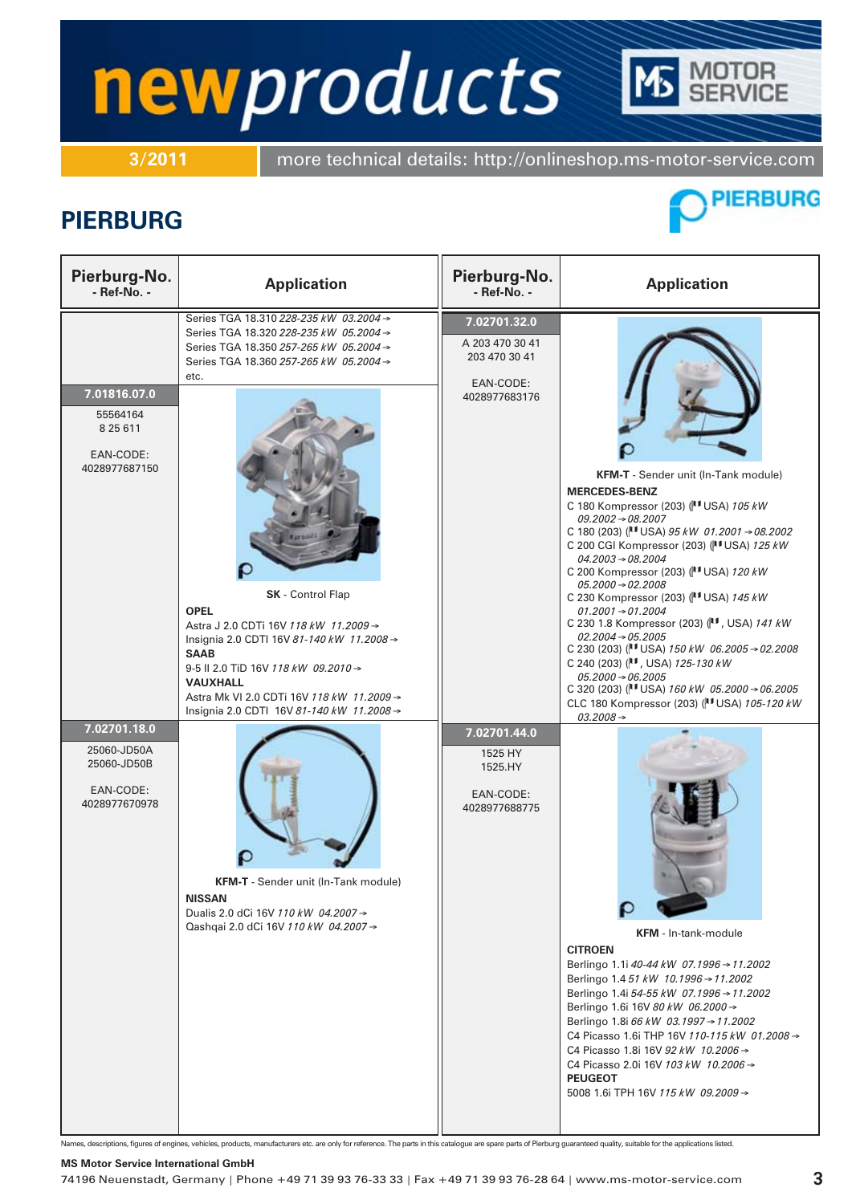**3/2011** more technical details: http://onlineshop.ms-motor-service.com

### **PIERBURG**



ITOR<br>RVICE

| Pierburg-No.<br>- Ref-No. -                                                                                                                     | <b>Application</b>                                                                                                                                                                                                                                                                                                                                                                                                                                                                                                                                                                                                       | Pierburg-No.<br>- Ref-No. -                                                                                                                        | <b>Application</b>                                                                                                                                                                                                                                                                                                                                                                                                                                                                                                                                                                                                                                                                                                                                                                                                                                                                                                                                                                                                                                                                                                                                                                                                                                                                                                                                        |
|-------------------------------------------------------------------------------------------------------------------------------------------------|--------------------------------------------------------------------------------------------------------------------------------------------------------------------------------------------------------------------------------------------------------------------------------------------------------------------------------------------------------------------------------------------------------------------------------------------------------------------------------------------------------------------------------------------------------------------------------------------------------------------------|----------------------------------------------------------------------------------------------------------------------------------------------------|-----------------------------------------------------------------------------------------------------------------------------------------------------------------------------------------------------------------------------------------------------------------------------------------------------------------------------------------------------------------------------------------------------------------------------------------------------------------------------------------------------------------------------------------------------------------------------------------------------------------------------------------------------------------------------------------------------------------------------------------------------------------------------------------------------------------------------------------------------------------------------------------------------------------------------------------------------------------------------------------------------------------------------------------------------------------------------------------------------------------------------------------------------------------------------------------------------------------------------------------------------------------------------------------------------------------------------------------------------------|
| 7.01816.07.0<br>55564164<br>8 25 6 11<br>EAN-CODE:<br>4028977687150<br>7.02701.18.0<br>25060-JD50A<br>25060-JD50B<br>EAN-CODE:<br>4028977670978 | Series TGA 18.310 228-235 kW 03.2004 →<br>Series TGA 18.320 228-235 kW 05.2004 →<br>Series TGA 18.350 257-265 kW 05.2004 →<br>Series TGA 18.360 257-265 kW 05.2004 →<br>etc.<br>SK - Control Flap<br><b>OPEL</b><br>Astra J 2.0 CDTi 16V 118 kW 11.2009 →<br>Insignia 2.0 CDTI 16V 81-140 kW 11.2008 →<br><b>SAAB</b><br>9-5 II 2.0 TiD 16V 118 kW 09.2010 →<br><b>VAUXHALL</b><br>Astra Mk VI 2.0 CDTi 16V 118 kW 11.2009 →<br>Insignia 2.0 CDTI 16V 81-140 kW 11.2008 →<br><b>KFM-T</b> - Sender unit (In-Tank module)<br><b>NISSAN</b><br>Dualis 2.0 dCi 16V 110 kW 04.2007 →<br>Qashqai 2.0 dCi 16V 110 kW 04.2007 → | 7.02701.32.0<br>A 203 470 30 41<br>203 470 30 41<br>EAN-CODE:<br>4028977683176<br>7.02701.44.0<br>1525 HY<br>1525.HY<br>EAN-CODE:<br>4028977688775 | KFM-T - Sender unit (In-Tank module)<br><b>MERCEDES-BENZ</b><br>C 180 Kompressor (203) (IT USA) 105 kW<br>$09.2002 \rightarrow 08.2007$<br>C 180 (203) ( $\vert$ <sup>1</sup> USA) 95 kW 01.2001 $\rightarrow$ 08.2002<br>C 200 CGI Kompressor (203) (VI USA) 125 kW<br>$04.2003 \rightarrow 08.2004$<br>C 200 Kompressor (203) (IT USA) 120 kW<br>$05.2000 \rightarrow 02.2008$<br>C 230 Kompressor (203) ( USA) 145 kW<br>$01.2001 \rightarrow 01.2004$<br>C 230 1.8 Kompressor (203) ( N , USA) 141 kW<br>$02.2004 \rightarrow 05.2005$<br>C 230 (203) ( $\parallel$ <sup>1</sup> USA) 150 kW 06.2005 $\rightarrow$ 02.2008<br>C 240 (203) (II, USA) 125-130 kW<br>$05.2000 \rightarrow 06.2005$<br>C 320 (203) ( $\parallel$ USA) 160 kW 05.2000 $\rightarrow$ 06.2005<br>CLC 180 Kompressor (203) (VI USA) 105-120 kW<br>$03.2008 \rightarrow$<br><b>KFM</b> - In-tank-module<br><b>CITROEN</b><br>Berlingo 1.1i 40-44 kW 07.1996 → 11.2002<br>Berlingo 1.4 51 kW 10.1996 → 11.2002<br>Berlingo 1.4i 54-55 kW 07.1996 $\rightarrow$ 11.2002<br>Berlingo 1.6i 16V 80 kW 06.2000 →<br>Berlingo 1.8i 66 kW 03.1997 → 11.2002<br>C4 Picasso 1.6i THP 16V 110-115 kW 01.2008 $\rightarrow$<br>C4 Picasso 1.8i 16V 92 kW 10.2006 →<br>C4 Picasso 2.0i 16V 103 kW 10.2006 $\rightarrow$<br><b>PEUGEOT</b><br>5008 1.6i TPH 16V 115 kW 09.2009 $\rightarrow$ |

Names, descriptions, figures of engines, vehicles, products, manufacturers etc. are only for reference. The parts in this catalogue are spare parts of Pierburg guaranteed quality, suitable for the applications listed.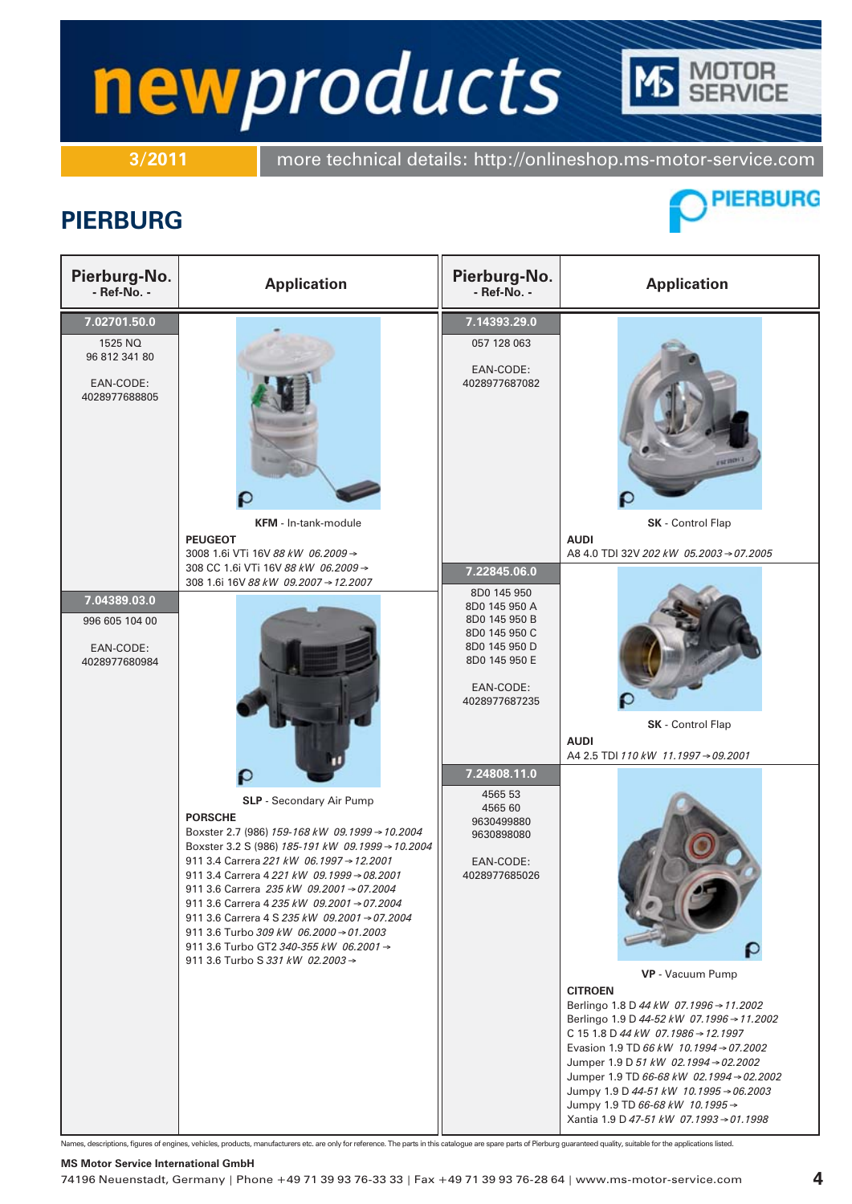**3/2011** more technical details: http://onlineshop.ms-motor-service.com

### **PIERBURG**



**DTOR<br>RVICE** 

| Pierburg-No.<br>- Ref-No. -                                            | <b>Application</b>                                                                                                                                                                                                                                                                                                                                                                                                                                                                                                                                                       | Pierburg-No.<br>- Ref-No. -                                                                                                                    | <b>Application</b>                                                                                                                                                                                                                                                                                                                                                                                                                                                                                               |
|------------------------------------------------------------------------|--------------------------------------------------------------------------------------------------------------------------------------------------------------------------------------------------------------------------------------------------------------------------------------------------------------------------------------------------------------------------------------------------------------------------------------------------------------------------------------------------------------------------------------------------------------------------|------------------------------------------------------------------------------------------------------------------------------------------------|------------------------------------------------------------------------------------------------------------------------------------------------------------------------------------------------------------------------------------------------------------------------------------------------------------------------------------------------------------------------------------------------------------------------------------------------------------------------------------------------------------------|
| 7.02701.50.0<br>1525 NQ<br>96 812 341 80<br>EAN-CODE:<br>4028977688805 | <b>KFM</b> - In-tank-module                                                                                                                                                                                                                                                                                                                                                                                                                                                                                                                                              | 7.14393.29.0<br>057 128 063<br>EAN-CODE:<br>4028977687082                                                                                      | <b>ESZ INCH</b><br>SK - Control Flap                                                                                                                                                                                                                                                                                                                                                                                                                                                                             |
| 7.04389.03.0<br>996 605 104 00<br>EAN-CODE:<br>4028977680984           | <b>PEUGEOT</b><br>3008 1.6i VTi 16V 88 kW 06.2009 →<br>308 CC 1.6i VTi 16V 88 kW 06.2009 →<br>308 1.6i 16V 88 kW 09.2007 → 12.2007                                                                                                                                                                                                                                                                                                                                                                                                                                       | 7.22845.06.0<br>8D0 145 950<br>8D0 145 950 A<br>8D0 145 950 B<br>8D0 145 950 C<br>8D0 145 950 D<br>8D0 145 950 E<br>EAN-CODE:<br>4028977687235 | <b>AUDI</b><br>A8 4.0 TDI 32V 202 kW 05.2003 → 07.2005<br>SK - Control Flap<br><b>AUDI</b><br>A4 2.5 TDI 110 kW 11.1997 → 09.2001                                                                                                                                                                                                                                                                                                                                                                                |
|                                                                        | SLP - Secondary Air Pump<br><b>PORSCHE</b><br>Boxster 2.7 (986) 159-168 kW 09.1999 → 10.2004<br>Boxster 3.2 S (986) 185-191 kW 09.1999 → 10.2004<br>911 3.4 Carrera 221 kW 06.1997 → 12.2001<br>911 3.4 Carrera 4 221 kW 09.1999 → 08.2001<br>911 3.6 Carrera 235 kW 09.2001 $\rightarrow$ 07.2004<br>911 3.6 Carrera 4 235 kW 09.2001 → 07.2004<br>911 3.6 Carrera 4 S 235 kW 09.2001 $\rightarrow$ 07.2004<br>911 3.6 Turbo 309 kW 06.2000 $\rightarrow$ 01.2003<br>911 3.6 Turbo GT2 340-355 kW 06.2001 $\rightarrow$<br>911 3.6 Turbo S 331 kW 02.2003 $\rightarrow$ | 7.24808.11.0<br>4565 53<br>4565 60<br>9630499880<br>9630898080<br>EAN-CODE:<br>4028977685026                                                   | <b>VP</b> - Vacuum Pump<br><b>CITROEN</b><br>Berlingo 1.8 D 44 kW 07.1996 → 11.2002<br>Berlingo 1.9 D 44-52 kW 07.1996 $\rightarrow$ 11.2002<br>C 15 1.8 D 44 kW 07.1986 $\rightarrow$ 12.1997<br>Evasion 1.9 TD 66 kW 10.1994 $\rightarrow$ 07.2002<br>Jumper 1.9 D 51 kW 02.1994 $\rightarrow$ 02.2002<br>Jumper 1.9 TD 66-68 kW 02.1994 $\rightarrow$ 02.2002<br>Jumpy 1.9 D 44-51 kW 10.1995 $\rightarrow$ 06.2003<br>Jumpy 1.9 TD 66-68 kW 10.1995 $\rightarrow$<br>Xantia 1.9 D 47-51 kW 07.1993 → 01.1998 |

Names, descriptions, figures of engines, vehicles, products, manufacturers etc. are only for reference. The parts in this catalogue are spare parts of Pierburg guaranteed quality, suitable for the applications listed.